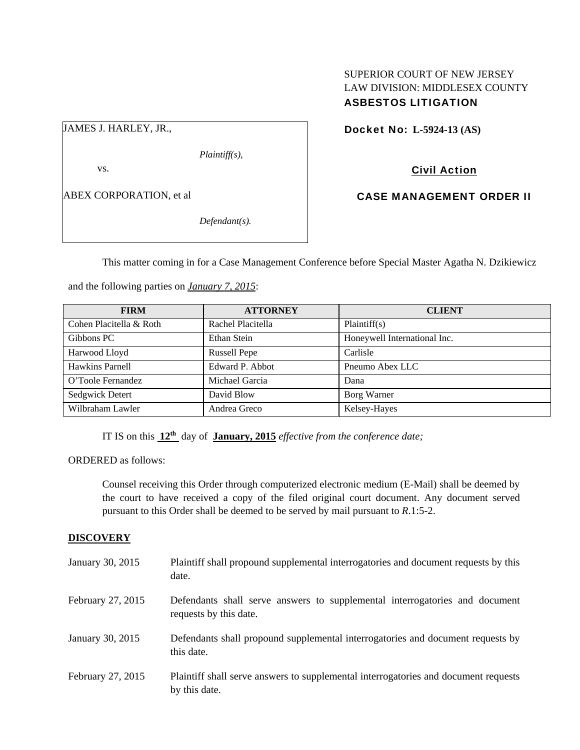# SUPERIOR COURT OF NEW JERSEY LAW DIVISION: MIDDLESEX COUNTY ASBESTOS LITIGATION

JAMES J. HARLEY, JR.,

*Plaintiff(s),* 

vs.

ABEX CORPORATION, et al

*Defendant(s).* 

Docket No: **L-5924-13 (AS)** 

Civil Action

CASE MANAGEMENT ORDER II

This matter coming in for a Case Management Conference before Special Master Agatha N. Dzikiewicz

and the following parties on *January 7, 2015*:

| <b>FIRM</b>             | <b>ATTORNEY</b>     | <b>CLIENT</b>                |
|-------------------------|---------------------|------------------------------|
| Cohen Placitella & Roth | Rachel Placitella   | Plaintiff(s)                 |
| Gibbons PC              | Ethan Stein         | Honeywell International Inc. |
| Harwood Lloyd           | <b>Russell Pepe</b> | Carlisle                     |
| Hawkins Parnell         | Edward P. Abbot     | Pneumo Abex LLC              |
| O'Toole Fernandez       | Michael Garcia      | Dana                         |
| Sedgwick Detert         | David Blow          | Borg Warner                  |
| Wilbraham Lawler        | Andrea Greco        | Kelsey-Hayes                 |

IT IS on this **12th** day of **January, 2015** *effective from the conference date;*

ORDERED as follows:

Counsel receiving this Order through computerized electronic medium (E-Mail) shall be deemed by the court to have received a copy of the filed original court document. Any document served pursuant to this Order shall be deemed to be served by mail pursuant to *R*.1:5-2.

## **DISCOVERY**

| January 30, 2015  | Plaintiff shall propound supplemental interrogatories and document requests by this<br>date.          |
|-------------------|-------------------------------------------------------------------------------------------------------|
| February 27, 2015 | Defendants shall serve answers to supplemental interrogatories and document<br>requests by this date. |
| January 30, 2015  | Defendants shall propound supplemental interrogatories and document requests by<br>this date.         |
| February 27, 2015 | Plaintiff shall serve answers to supplemental interrogatories and document requests<br>by this date.  |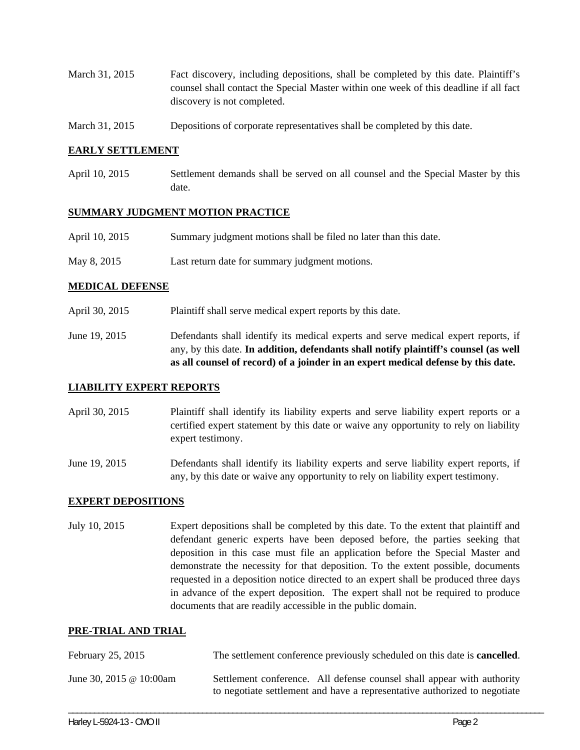- March 31, 2015 Fact discovery, including depositions, shall be completed by this date. Plaintiff's counsel shall contact the Special Master within one week of this deadline if all fact discovery is not completed.
- March 31, 2015 Depositions of corporate representatives shall be completed by this date.

#### **EARLY SETTLEMENT**

April 10, 2015 Settlement demands shall be served on all counsel and the Special Master by this date.

#### **SUMMARY JUDGMENT MOTION PRACTICE**

- April 10, 2015 Summary judgment motions shall be filed no later than this date.
- May 8, 2015 Last return date for summary judgment motions.

## **MEDICAL DEFENSE**

- April 30, 2015 Plaintiff shall serve medical expert reports by this date.
- June 19, 2015 Defendants shall identify its medical experts and serve medical expert reports, if any, by this date. **In addition, defendants shall notify plaintiff's counsel (as well as all counsel of record) of a joinder in an expert medical defense by this date.**

## **LIABILITY EXPERT REPORTS**

- April 30, 2015 Plaintiff shall identify its liability experts and serve liability expert reports or a certified expert statement by this date or waive any opportunity to rely on liability expert testimony.
- June 19, 2015 Defendants shall identify its liability experts and serve liability expert reports, if any, by this date or waive any opportunity to rely on liability expert testimony.

#### **EXPERT DEPOSITIONS**

July 10, 2015 Expert depositions shall be completed by this date. To the extent that plaintiff and defendant generic experts have been deposed before, the parties seeking that deposition in this case must file an application before the Special Master and demonstrate the necessity for that deposition. To the extent possible, documents requested in a deposition notice directed to an expert shall be produced three days in advance of the expert deposition. The expert shall not be required to produce documents that are readily accessible in the public domain.

#### **PRE-TRIAL AND TRIAL**

| February 25, 2015       | The settlement conference previously scheduled on this date is <b>cancelled</b> .                                                                   |
|-------------------------|-----------------------------------------------------------------------------------------------------------------------------------------------------|
| June 30, 2015 @ 10:00am | Settlement conference. All defense counsel shall appear with authority<br>to negotiate settlement and have a representative authorized to negotiate |

\_\_\_\_\_\_\_\_\_\_\_\_\_\_\_\_\_\_\_\_\_\_\_\_\_\_\_\_\_\_\_\_\_\_\_\_\_\_\_\_\_\_\_\_\_\_\_\_\_\_\_\_\_\_\_\_\_\_\_\_\_\_\_\_\_\_\_\_\_\_\_\_\_\_\_\_\_\_\_\_\_\_\_\_\_\_\_\_\_\_\_\_\_\_\_\_\_\_\_\_\_\_\_\_\_\_\_\_\_\_